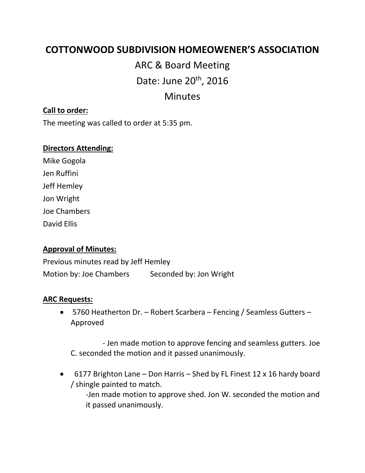# **COTTONWOOD SUBDIVISION HOMEOWENER'S ASSOCIATION**

ARC & Board Meeting Date: June 20<sup>th</sup>, 2016 Minutes

# **Call to order:**

The meeting was called to order at 5:35 pm.

#### **Directors Attending:**

Mike Gogola Jen Ruffini Jeff Hemley Jon Wright Joe Chambers David Ellis

### **Approval of Minutes:**

Previous minutes read by Jeff Hemley Motion by: Joe Chambers Seconded by: Jon Wright

#### **ARC Requests:**

• 5760 Heatherton Dr. – Robert Scarbera – Fencing / Seamless Gutters – Approved

 - Jen made motion to approve fencing and seamless gutters. Joe C. seconded the motion and it passed unanimously.

• 6177 Brighton Lane – Don Harris – Shed by FL Finest 12 x 16 hardy board / shingle painted to match.

-Jen made motion to approve shed. Jon W. seconded the motion and it passed unanimously.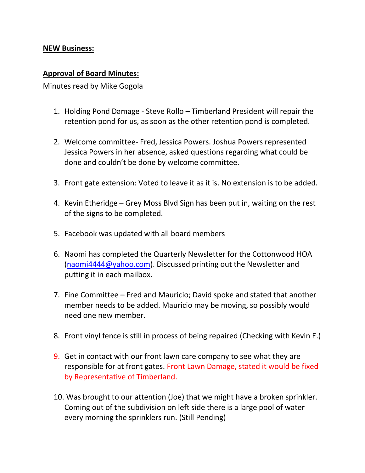## **NEW Business:**

## **Approval of Board Minutes:**

Minutes read by Mike Gogola

- 1. Holding Pond Damage Steve Rollo Timberland President will repair the retention pond for us, as soon as the other retention pond is completed.
- 2. Welcome committee- Fred, Jessica Powers. Joshua Powers represented Jessica Powers in her absence, asked questions regarding what could be done and couldn't be done by welcome committee.
- 3. Front gate extension: Voted to leave it as it is. No extension is to be added.
- 4. Kevin Etheridge Grey Moss Blvd Sign has been put in, waiting on the rest of the signs to be completed.
- 5. Facebook was updated with all board members
- 6. Naomi has completed the Quarterly Newsletter for the Cottonwood HOA [\(naomi4444@yahoo.com\)](mailto:naomi4444@yahoo.com). Discussed printing out the Newsletter and putting it in each mailbox.
- 7. Fine Committee Fred and Mauricio; David spoke and stated that another member needs to be added. Mauricio may be moving, so possibly would need one new member.
- 8. Front vinyl fence is still in process of being repaired (Checking with Kevin E.)
- 9. Get in contact with our front lawn care company to see what they are responsible for at front gates. Front Lawn Damage, stated it would be fixed by Representative of Timberland.
- 10. Was brought to our attention (Joe) that we might have a broken sprinkler. Coming out of the subdivision on left side there is a large pool of water every morning the sprinklers run. (Still Pending)